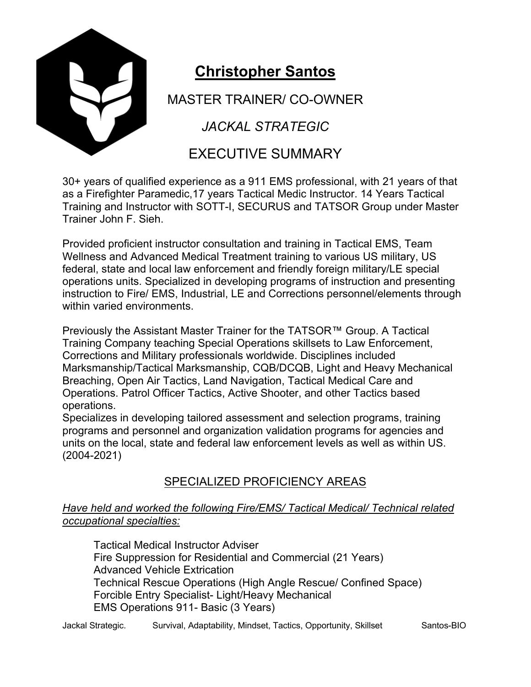

# **Christopher Santos**

MASTER TRAINER/ CO-OWNER

*JACKAL STRATEGIC*

## EXECUTIVE SUMMARY

30+ years of qualified experience as a 911 EMS professional, with 21 years of that as a Firefighter Paramedic,17 years Tactical Medic Instructor. 14 Years Tactical Training and Instructor with SOTT-I, SECURUS and TATSOR Group under Master Trainer John F. Sieh.

Provided proficient instructor consultation and training in Tactical EMS, Team Wellness and Advanced Medical Treatment training to various US military, US federal, state and local law enforcement and friendly foreign military/LE special operations units. Specialized in developing programs of instruction and presenting instruction to Fire/ EMS, Industrial, LE and Corrections personnel/elements through within varied environments.

Previously the Assistant Master Trainer for the TATSOR™ Group. A Tactical Training Company teaching Special Operations skillsets to Law Enforcement, Corrections and Military professionals worldwide. Disciplines included Marksmanship/Tactical Marksmanship, CQB/DCQB, Light and Heavy Mechanical Breaching, Open Air Tactics, Land Navigation, Tactical Medical Care and Operations. Patrol Officer Tactics, Active Shooter, and other Tactics based operations.

Specializes in developing tailored assessment and selection programs, training programs and personnel and organization validation programs for agencies and units on the local, state and federal law enforcement levels as well as within US. (2004-2021)

### SPECIALIZED PROFICIENCY AREAS

#### *Have held and worked the following Fire/EMS/ Tactical Medical/ Technical related occupational specialties:*

Tactical Medical Instructor Adviser Fire Suppression for Residential and Commercial (21 Years) Advanced Vehicle Extrication Technical Rescue Operations (High Angle Rescue/ Confined Space) Forcible Entry Specialist- Light/Heavy Mechanical EMS Operations 911- Basic (3 Years)

Jackal Strategic. Survival, Adaptability, Mindset, Tactics, Opportunity, Skillset Santos-BIO